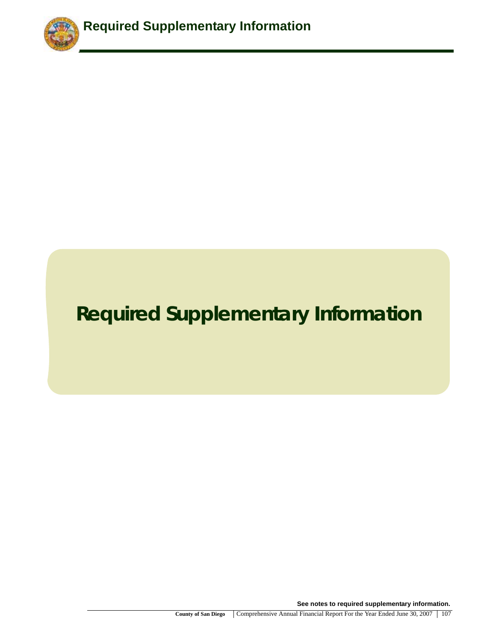

# **Required Supplementary Information**

**See notes to required supplementary information.**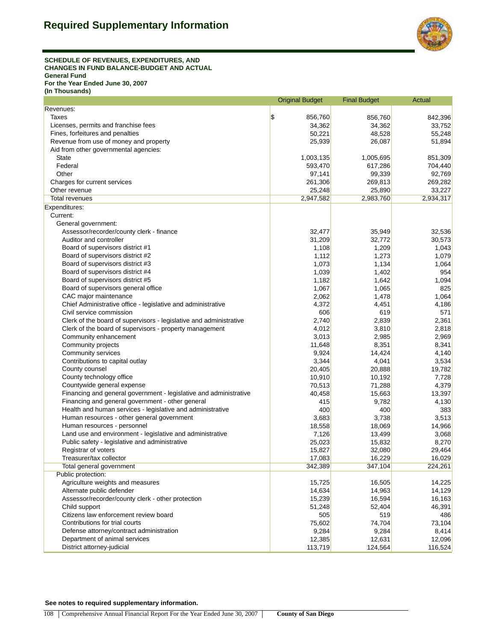

#### **SCHEDULE OF REVENUES, EXPENDITURES, AND CHANGES IN FUND BALANCE-BUDGET AND ACTUAL General Fund For the Year Ended June 30, 2007 (In Thousands)**

|                                                                    | <b>Original Budget</b>   | <b>Final Budget</b> | Actual    |
|--------------------------------------------------------------------|--------------------------|---------------------|-----------|
| Revenues:                                                          |                          |                     |           |
| Taxes                                                              | $\frac{1}{2}$<br>856,760 | 856,760             | 842,396   |
| Licenses, permits and franchise fees                               | 34,362                   | 34,362              | 33,752    |
| Fines, forfeitures and penalties                                   | 50,221                   | 48,528              | 55,248    |
| Revenue from use of money and property                             | 25,939                   | 26,087              | 51,894    |
| Aid from other governmental agencies:                              |                          |                     |           |
| <b>State</b>                                                       | 1,003,135                | 1,005,695           | 851,309   |
| Federal                                                            | 593,470                  | 617,286             | 704,440   |
| Other                                                              | 97,141                   | 99,339              | 92,769    |
| Charges for current services                                       | 261,306                  | 269,813             | 269,282   |
| Other revenue                                                      | 25,248                   | 25,890              | 33,227    |
| Total revenues                                                     | 2,947,582                | 2,983,760           | 2,934,317 |
| Expenditures:                                                      |                          |                     |           |
| Current:                                                           |                          |                     |           |
| General government:                                                |                          |                     |           |
| Assessor/recorder/county clerk - finance                           | 32,477                   | 35,949              | 32,536    |
| Auditor and controller                                             | 31,209                   | 32,772              | 30,573    |
| Board of supervisors district #1                                   |                          | 1,209               |           |
|                                                                    | 1,108                    |                     | 1,043     |
| Board of supervisors district #2                                   | 1,112                    | 1,273               | 1,079     |
| Board of supervisors district #3                                   | 1,073                    | 1,134               | 1,064     |
| Board of supervisors district #4                                   | 1,039                    | 1,402               | 954       |
| Board of supervisors district #5                                   | 1,182                    | 1,642               | 1,094     |
| Board of supervisors general office                                | 1,067                    | 1,065               | 825       |
| CAC major maintenance                                              | 2,062                    | 1,478               | 1,064     |
| Chief Administrative office - legislative and administrative       | 4,372                    | 4,451               | 4,186     |
| Civil service commission                                           | 606                      | 619                 | 571       |
| Clerk of the board of supervisors - legislative and administrative | 2,740                    | 2,839               | 2,361     |
| Clerk of the board of supervisors - property management            | 4,012                    | 3,810               | 2,818     |
| Community enhancement                                              | 3,013                    | 2,985               | 2,969     |
| Community projects                                                 | 11,648                   | 8,351               | 8,341     |
| Community services                                                 | 9,924                    | 14,424              | 4,140     |
| Contributions to capital outlay                                    | 3,344                    | 4,041               | 3,534     |
| County counsel                                                     | 20,405                   | 20,888              | 19,782    |
| County technology office                                           | 10,910                   | 10,192              | 7,728     |
| Countywide general expense                                         | 70,513                   | 71,288              | 4,379     |
| Financing and general government - legislative and administrative  | 40,458                   | 15,663              | 13,397    |
| Financing and general government - other general                   | 415                      | 9,782               | 4,130     |
| Health and human services - legislative and administrative         | 400                      | 400                 | 383       |
| Human resources - other general government                         | 3,683                    | 3,738               | 3,513     |
| Human resources - personnel                                        | 18,558                   | 18,069              | 14,966    |
| Land use and environment - legislative and administrative          | 7,126                    | 13,499              | 3,068     |
| Public safety - legislative and administrative                     | 25,023                   | 15,832              | 8,270     |
| Registrar of voters                                                | 15,827                   | 32,080              | 29,464    |
| Treasurer/tax collector                                            | 17,083                   | 16,229              | 16,029    |
| <b>Total general government</b>                                    | 342,389                  | 347,104             | 224,261   |
| Public protection:                                                 |                          |                     |           |
| Agriculture weights and measures                                   | 15,725                   | 16,505              | 14,225    |
| Alternate public defender                                          | 14,634                   | 14,963              | 14,129    |
| Assessor/recorder/county clerk - other protection                  | 15,239                   | 16,594              | 16,163    |
| Child support                                                      | 51,248                   | 52,404              | 46,391    |
| Citizens law enforcement review board                              | 505                      | 519                 | 486       |
| Contributions for trial courts                                     | 75,602                   | 74,704              | 73,104    |
| Defense attorney/contract administration                           | 9,284                    | 9,284               | 8,414     |
| Department of animal services                                      | 12,385                   | 12,631              | 12,096    |
| District attorney-judicial                                         | 113,719                  | 124,564             | 116,524   |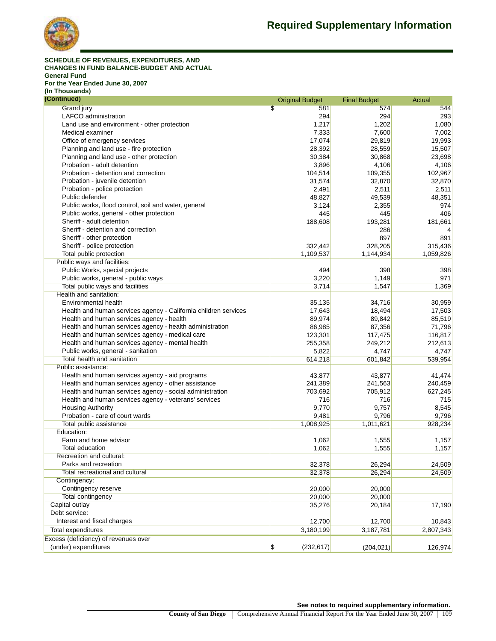

#### **SCHEDULE OF REVENUES, EXPENDITURES, AND CHANGES IN FUND BALANCE-BUDGET AND ACTUAL General Fund For the Year Ended June 30, 2007**

**(In Thousands)**

| (Continued)                                                     | <b>Original Budget</b>                  | <b>Final Budget</b> | Actual    |  |  |
|-----------------------------------------------------------------|-----------------------------------------|---------------------|-----------|--|--|
| Grand jury                                                      | \$<br>581                               | 574                 | 544       |  |  |
| <b>LAFCO</b> administration                                     | 294                                     | 294                 | 293       |  |  |
| Land use and environment - other protection                     | 1,217                                   | 1,202               | 1,080     |  |  |
| Medical examiner                                                | 7,333                                   | 7,600               | 7,002     |  |  |
| Office of emergency services                                    | 17,074                                  | 29,819              | 19,993    |  |  |
| Planning and land use - fire protection                         | 28,392                                  | 28,559              | 15,507    |  |  |
| Planning and land use - other protection                        | 30,384                                  | 30,868              | 23,698    |  |  |
| Probation - adult detention                                     | 3,896                                   | 4,106               | 4,106     |  |  |
| Probation - detention and correction                            | 104,514                                 | 109,355             | 102,967   |  |  |
| Probation - juvenile detention                                  | 31,574                                  | 32.870              | 32,870    |  |  |
| Probation - police protection                                   | 2,491                                   | 2,511               | 2,511     |  |  |
| Public defender                                                 | 48,827                                  | 49,539              | 48,351    |  |  |
| Public works, flood control, soil and water, general            | 3,124                                   | 2,355               | 974       |  |  |
| Public works, general - other protection                        | 445                                     | 445                 | 406       |  |  |
| Sheriff - adult detention                                       | 188,608                                 | 193,281             | 181,661   |  |  |
| Sheriff - detention and correction                              |                                         | 286                 | 4         |  |  |
| Sheriff - other protection                                      |                                         | 897                 | 891       |  |  |
| Sheriff - police protection                                     | 332,442                                 | 328,205             | 315,436   |  |  |
| <b>Total public protection</b>                                  | 1,109,537                               | 1,144,934           | 1,059,826 |  |  |
| Public ways and facilities:                                     |                                         |                     |           |  |  |
| Public Works, special projects                                  | 494                                     | 398                 | 398       |  |  |
| Public works, general - public ways                             | 3,220                                   | 1,149               | 971       |  |  |
| Total public ways and facilities                                | 3,714                                   | 1,547               | 1,369     |  |  |
| Health and sanitation:                                          |                                         |                     |           |  |  |
| Environmental health                                            | 35,135                                  | 34,716              | 30,959    |  |  |
| Health and human services agency - California children services | 17,643                                  | 18,494              | 17,503    |  |  |
| Health and human services agency - health                       | 89,974                                  | 89,842              | 85,519    |  |  |
| Health and human services agency - health administration        | 86,985                                  | 87,356              | 71,796    |  |  |
| Health and human services agency - medical care                 | 123,301                                 | 117,475             | 116,817   |  |  |
| Health and human services agency - mental health                | 255,358                                 | 249,212             | 212,613   |  |  |
| Public works, general - sanitation                              | 5,822                                   | 4,747               | 4,747     |  |  |
| Total health and sanitation                                     | 614,218                                 | 601,842             | 539,954   |  |  |
| Public assistance:                                              |                                         |                     |           |  |  |
| Health and human services agency - aid programs                 | 43,877                                  | 43,877              | 41,474    |  |  |
| Health and human services agency - other assistance             | 241,389                                 | 241,563             | 240,459   |  |  |
| Health and human services agency - social administration        | 703,692                                 | 705,912             | 627,245   |  |  |
| Health and human services agency - veterans' services           | 716                                     | 716                 | 715       |  |  |
| <b>Housing Authority</b>                                        | 9,770                                   | 9,757               | 8,545     |  |  |
| Probation - care of court wards                                 | 9,481                                   | 9,796               | 9,796     |  |  |
| Total public assistance                                         | 1,008,925                               | 1,011,621           | 928,234   |  |  |
| Education:                                                      |                                         |                     |           |  |  |
| Farm and home advisor                                           | 1,062                                   | 1,555               | 1,157     |  |  |
| <b>Total education</b>                                          | 1,062                                   | 1,555               | 1,157     |  |  |
| Recreation and cultural:                                        |                                         |                     |           |  |  |
| Parks and recreation                                            | 32,378                                  | 26,294              | 24,509    |  |  |
| Total recreational and cultural                                 | 32,378                                  | 26,294              | 24,509    |  |  |
| Contingency:                                                    |                                         |                     |           |  |  |
| Contingency reserve                                             | 20,000                                  | 20,000              |           |  |  |
| <b>Total contingency</b>                                        | 20,000                                  | 20,000              |           |  |  |
| Capital outlay                                                  | 35,276                                  | 20,184              | 17,190    |  |  |
| Debt service:                                                   |                                         |                     |           |  |  |
| Interest and fiscal charges                                     | 12,700                                  | 12,700              | 10,843    |  |  |
| Total expenditures                                              | 3,180,199                               | 3,187,781           |           |  |  |
| Excess (deficiency) of revenues over                            |                                         |                     | 2,807,343 |  |  |
| (under) expenditures                                            | $\boldsymbol{\mathsf{s}}$<br>(232, 617) | (204, 021)          | 126,974   |  |  |
|                                                                 |                                         |                     |           |  |  |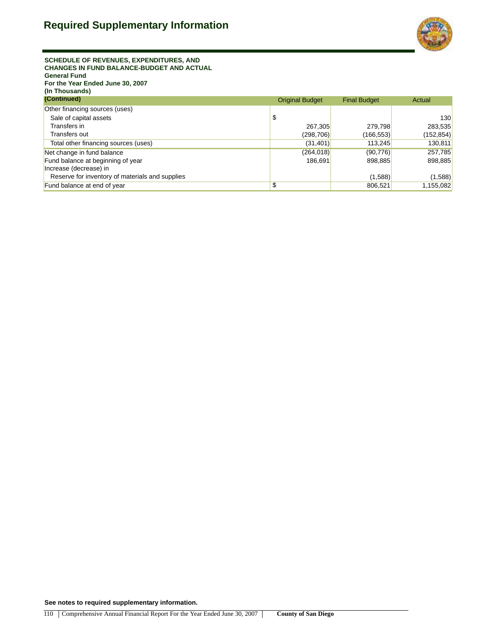

**SCHEDULE OF REVENUES, EXPENDITURES, AND CHANGES IN FUND BALANCE-BUDGET AND ACTUAL General Fund For the Year Ended June 30, 2007 (In Thousands)**

| (Continued)                                     | <b>Original Budget</b> | <b>Final Budget</b> | Actual    |  |
|-------------------------------------------------|------------------------|---------------------|-----------|--|
| Other financing sources (uses)                  |                        |                     |           |  |
| Sale of capital assets                          | \$                     |                     | 130       |  |
| Transfers in                                    | 267,305                | 279.798             | 283,535   |  |
| Transfers out                                   | (298, 706)             | (166, 553)          | (152,854) |  |
| Total other financing sources (uses)            | (31, 401)              | 113,245             | 130,811   |  |
| Net change in fund balance                      | (264, 018)             | (90, 776)           | 257,785   |  |
| Fund balance at beginning of year               | 186.691                | 898,885             | 898,885   |  |
| Increase (decrease) in                          |                        |                     |           |  |
| Reserve for inventory of materials and supplies |                        | (1,588)             | (1,588)   |  |
| Fund balance at end of year                     | \$                     | 806,521             | 1,155,082 |  |

**See notes to required supplementary information.**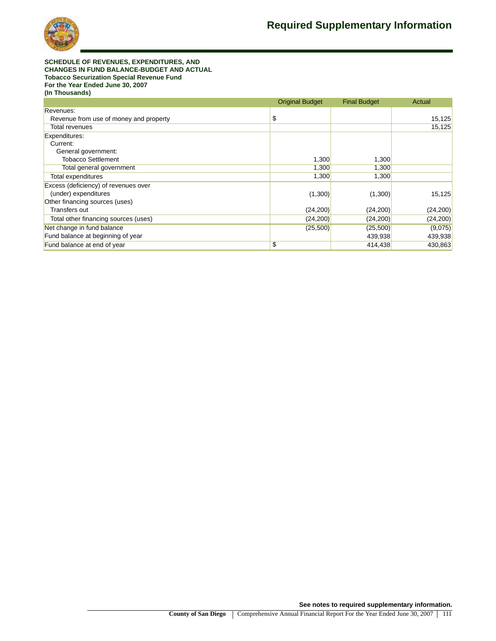

**SCHEDULE OF REVENUES, EXPENDITURES, AND CHANGES IN FUND BALANCE-BUDGET AND ACTUAL Tobacco Securization Special Revenue Fund For the Year Ended June 30, 2007 (In Thousands)**

|                                        | <b>Original Budget</b> | <b>Final Budget</b> | Actual    |
|----------------------------------------|------------------------|---------------------|-----------|
| Revenues:                              |                        |                     |           |
| Revenue from use of money and property | \$                     |                     | 15,125    |
| Total revenues                         |                        |                     | 15,125    |
| Expenditures:                          |                        |                     |           |
| Current:                               |                        |                     |           |
| General government:                    |                        |                     |           |
| <b>Tobacco Settlement</b>              | 1,300                  | 1,300               |           |
| Total general government               | 1,300                  | 1,300               |           |
| Total expenditures                     | 1,300                  | 1,300               |           |
| Excess (deficiency) of revenues over   |                        |                     |           |
| (under) expenditures                   | (1,300)                | (1,300)             | 15,125    |
| Other financing sources (uses)         |                        |                     |           |
| Transfers out                          | (24, 200)              | (24, 200)           | (24, 200) |
| Total other financing sources (uses)   | (24, 200)              | (24,200)            | (24, 200) |
| Net change in fund balance             | (25,500)               | (25, 500)           | (9,075)   |
| Fund balance at beginning of year      |                        | 439,938             | 439,938   |
| Fund balance at end of year            | \$                     | 414,438             | 430,863   |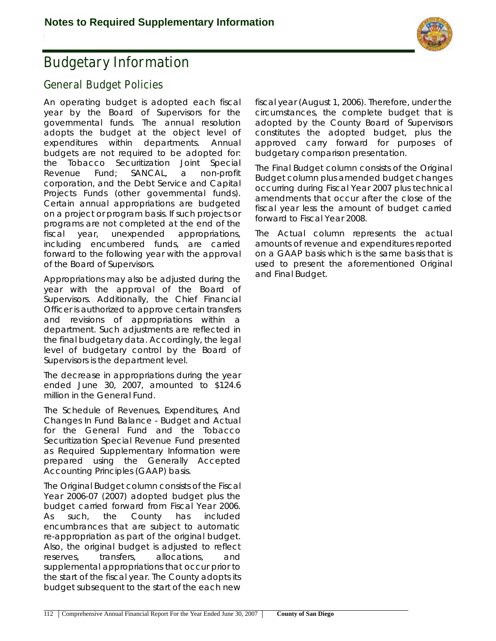

## **Budgetary Information**

### **General Budget Policies**

An operating budget is adopted each fiscal year by the Board of Supervisors for the governmental funds. The annual resolution adopts the budget at the object level of expenditures within departments. Annual budgets are not required to be adopted for: the Tobacco Securitization Joint Special Revenue Fund; SANCAL, a non-profit corporation, and the Debt Service and Capital Projects Funds (other governmental funds). Certain annual appropriations are budgeted on a project or program basis. If such projects or programs are not completed at the end of the fiscal year, unexpended appropriations, including encumbered funds, are carried forward to the following year with the approval of the Board of Supervisors.

Appropriations may also be adjusted during the year with the approval of the Board of Supervisors. Additionally, the Chief Financial Officer is authorized to approve certain transfers and revisions of appropriations within a department. Such adjustments are reflected in the final budgetary data. Accordingly, the legal level of budgetary control by the Board of Supervisors is the department level.

The decrease in appropriations during the year ended June 30, 2007, amounted to \$124.6 million in the General Fund.

The Schedule of Revenues, Expenditures, And Changes In Fund Balance - Budget and Actual for the General Fund and the Tobacco Securitization Special Revenue Fund presented as Required Supplementary Information were prepared using the Generally Accepted Accounting Principles (GAAP) basis.

The Original Budget column consists of the Fiscal Year 2006-07 (2007) adopted budget plus the budget carried forward from Fiscal Year 2006. As such, the County has included encumbrances that are subject to automatic re-appropriation as part of the original budget. Also, the original budget is adjusted to reflect reserves, transfers, allocations, and supplemental appropriations that occur prior to the start of the fiscal year. The County adopts its budget subsequent to the start of the each new

fiscal year (August 1, 2006). Therefore, under the circumstances, the complete budget that is adopted by the County Board of Supervisors constitutes the adopted budget, plus the approved carry forward for purposes of budgetary comparison presentation.

The Final Budget column consists of the Original Budget column plus amended budget changes occurring during Fiscal Year 2007 plus technical amendments that occur after the close of the fiscal year less the amount of budget carried forward to Fiscal Year 2008.

The Actual column represents the actual amounts of revenue and expenditures reported on a GAAP basis which is the same basis that is used to present the aforementioned Original and Final Budget.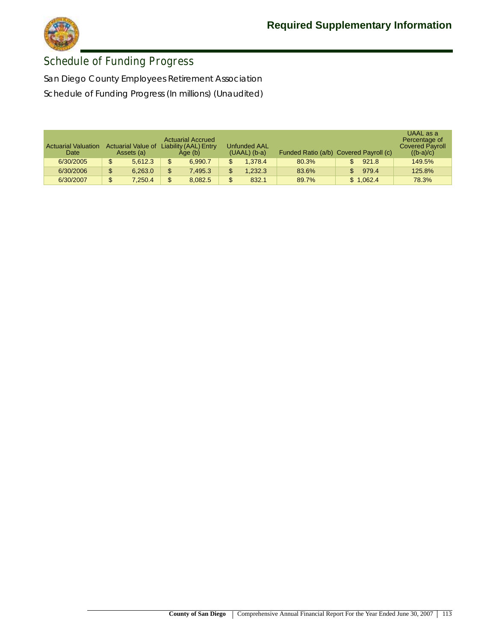

### **Schedule of Funding Progress**

San Diego County Employees Retirement Association Schedule of Funding Progress (In millions) (Unaudited)

| <b>Actuarial Valuation</b><br>Date | <b>Actuarial Value of</b><br>Assets (a) | <b>Actuarial Accrued</b><br>Liability (AAL) Entry<br>Age (b) | Unfunded AAL<br>$(UAAL)$ (b-a) | Funded Ratio (a/b) Covered Payroll (c) |  |           | UAAL as a<br>Percentage of<br><b>Covered Payroll</b><br>$((b-a)/c)$ |
|------------------------------------|-----------------------------------------|--------------------------------------------------------------|--------------------------------|----------------------------------------|--|-----------|---------------------------------------------------------------------|
| 6/30/2005                          | \$<br>5.612.3                           | 6.990.7                                                      | \$<br>1.378.4                  | 80.3%                                  |  | 921.8     | 149.5%                                                              |
| 6/30/2006                          | \$<br>6.263.0                           | 7.495.3                                                      | \$<br>1.232.3                  | 83.6%                                  |  | 979.4     | 125.8%                                                              |
| 6/30/2007                          | \$<br>7.250.4                           | 8.082.5                                                      | \$<br>832.1                    | 89.7%                                  |  | \$1,062.4 | 78.3%                                                               |